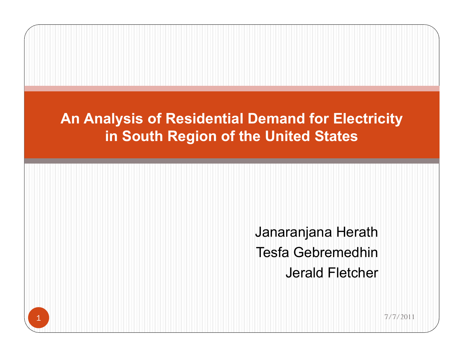## **An Analysis of Residential Demand for Electricity in South Region of the United States**

Janaranjana Herath Tesfa Gebremedhin Jerald Fletcher

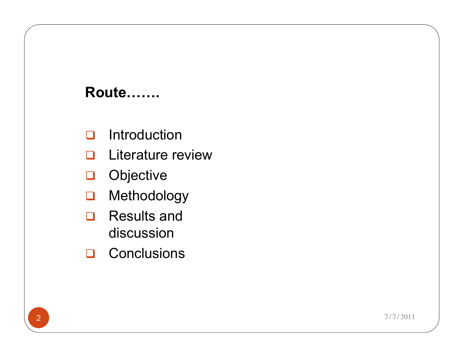#### **Route…….**

- $\Box$  Introduction
- **Q** Literature review
- **Q** Objective
- **Q** Methodology
- $\Box$  Results and discussion
- **Q** Conclusions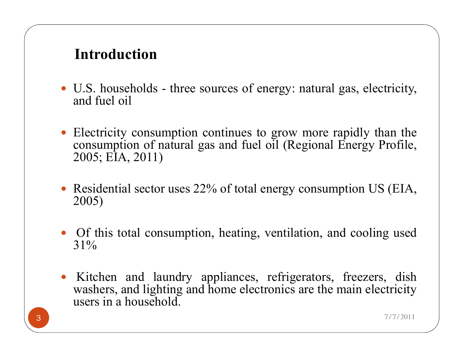### **Introduction**

- U.S. households three sources of energy: natural gas, electricity, and fuel oil
- Electricity consumption continues to grow more rapidly than the consumption of natural gas and fuel oil (Regional Energy Profile, 2005; EIA, 2011)
- Residential sector uses 22% of total energy consumption US (EIA, 2005)
- Of this total consumption, heating, ventilation, and cooling used 31%
- Kitchen and laundry appliances, refrigerators, freezers, dish washers, and lighting and home electronics are the main electricity users in a household.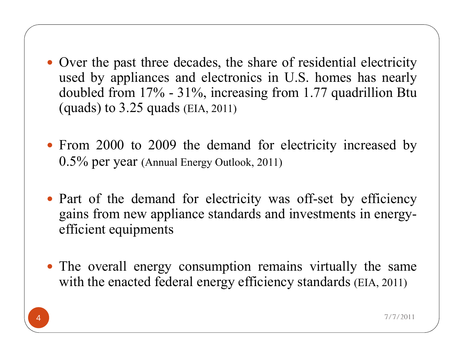- Over the past three decades, the share of residential electricity used by appliances and electronics in U.S. homes has nearly doubled from 17% - 31%, increasing from 1.77 quadrillion Btu (quads) to 3.25 quads (EIA, 2011)
- From 2000 to 2009 the demand for electricity increased by 0.5% per year (Annual Energy Outlook, 2011)
- Part of the demand for electricity was off-set by efficiency gains from new appliance standards and investments in energyefficient equipments
- The overall energy consumption remains virtually the same with the enacted federal energy efficiency standards (EIA, 2011)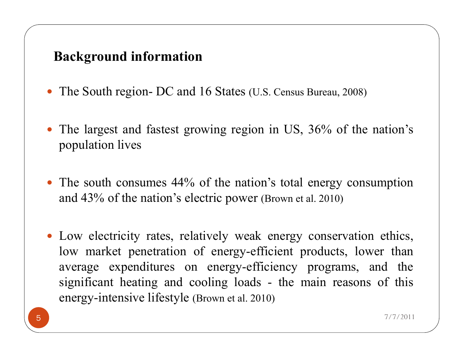#### **Background information**

- The South region- DC and 16 States (U.S. Census Bureau, 2008)
- The largest and fastest growing region in US, 36% of the nation's population lives
- The south consumes 44% of the nation's total energy consumption and 43% of the nation's electric power (Brown et al. 2010)
- Low electricity rates, relatively weak energy conservation ethics, low market penetration of energy-efficient products, lower than average expenditures on energy-efficiency programs, and the significant heating and cooling loads - the main reasons of this energy-intensive lifestyle (Brown et al. 2010)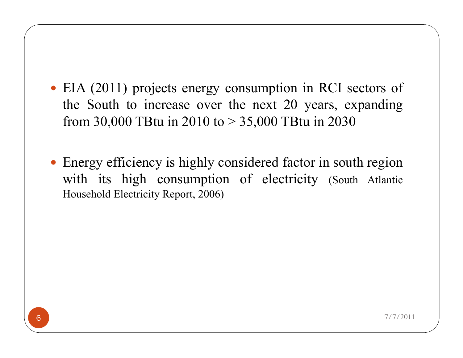- EIA (2011) projects energy consumption in RCI sectors of the South to increase over the next 20 years, expanding from 30,000 TBtu in 2010 to  $> 35,000$  TBtu in 2030
- Energy efficiency is highly considered factor in south region with its high consumption of electricity (South Atlantic Household Electricity Report, 2006)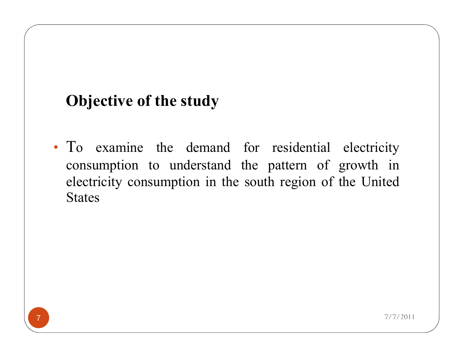# **Objective of the study**

• To examine the demand for residential electricity consumption to understand the pattern of growth in electricity consumption in the south region of the United **States** 

7 7/7/2011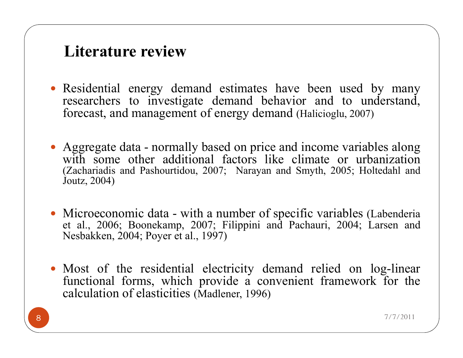## **Literature review**

- Residential energy demand estimates have been used by many researchers to investigate demand behavior and to understand, forecast, and management of energy demand (Halicioglu, 2007)
- Aggregate data normally based on price and income variables along with some other additional factors like climate or urbanization (Zachariadis and Pashourtidou, 2007; Narayan and Smyth, 2005; Holtedahl and Joutz, 2004)
- Microeconomic data with a number of specific variables (Labenderia) et al., 2006; Boonekamp, 2007; Filippini and Pachauri, 2004; Larsen and Nesbakken, 2004; Poyer et al., 1997)
- Most of the residential electricity demand relied on log-linear functional forms, which provide a convenient framework for the calculation of elasticities (Madlener, 1996)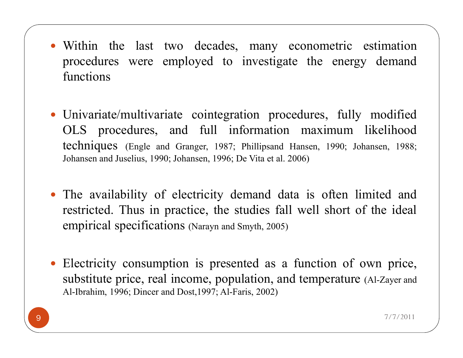- Within the last two decades, many econometric estimation procedures were employed to investigate the energy demand functions
- Univariate/multivariate cointegration procedures, fully modified OLS procedures, and full information maximum likelihood techniques (Engle and Granger, 1987; Phillipsand Hansen, 1990; Johansen, 1988; Johansen and Juselius, 1990; Johansen, 1996; De Vita et al. 2006)
- The availability of electricity demand data is often limited and restricted. Thus in practice, the studies fall well short of the ideal empirical specifications (Narayn and Smyth, 2005)
- Electricity consumption is presented as a function of own price, substitute price, real income, population, and temperature (Al-Zayer and Al-Ibrahim, 1996; Dincer and Dost,1997; Al-Faris, 2002)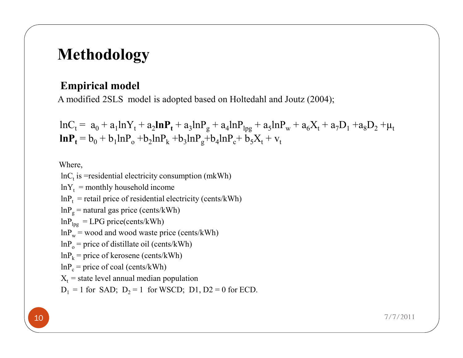## **Methodology**

#### **Empirical model**

A modified 2SLS model is adopted based on Holtedahl and Joutz (2004);

 $lnC_t = a_0 + a_1 lnY_t + a_2 lnP_t + a_3 lnP_g + a_4 lnP_{\text{log}} + a_5 lnP_w + a_6 X_t + a_7 D_1 + a_8 D_2 + \mu_t$  $\ln P_t = b_0 + b_1 \ln P_o + b_2 \ln P_k + b_3 \ln P_g + b_4 \ln P_c + b_5 X_t + v_t$ 

Where,

 $lnC_t$  is =residential electricity consumption (mkWh)  $lnY_t$  = monthly household income  $lnP_t$  = retail price of residential electricity (cents/kWh)  $lnP<sub>g</sub>$  = natural gas price (cents/kWh)  $lnP_{\text{lpg}} = LPG$  price(cents/kWh)  $lnP_w$  = wood and wood waste price (cents/kWh)  $lnP_0$  = price of distillate oil (cents/kWh)  $lnP_k$  = price of kerosene (cents/kWh)  $lnP_c$  = price of coal (cents/kWh)  $X<sub>t</sub>$  = state level annual median population  $D_1 = 1$  for SAD;  $D_2 = 1$  for WSCD; D1, D2 = 0 for ECD.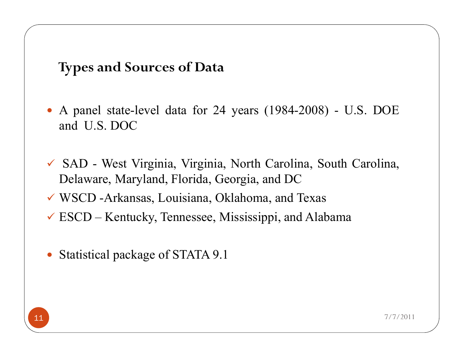**Types and Sources of Data**

- A panel state-level data for 24 years (1984-2008) U.S. DOE and U.S. DOC
- ü SAD West Virginia, Virginia, North Carolina, South Carolina, Delaware, Maryland, Florida, Georgia, and DC
- $\checkmark$  WSCD -Arkansas, Louisiana, Oklahoma, and Texas
- $\checkmark$  ESCD Kentucky, Tennessee, Mississippi, and Alabama
- Statistical package of STATA 9.1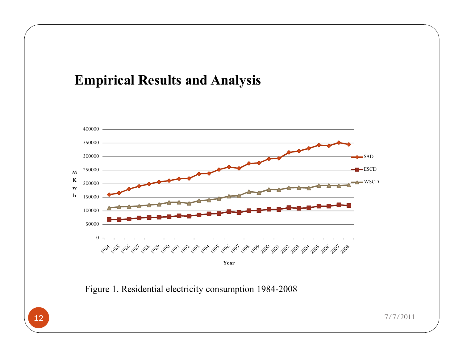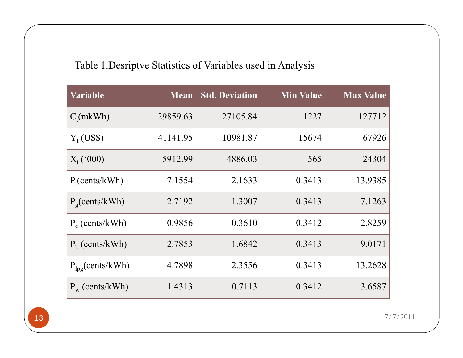#### Table 1.Desriptve Statistics of Variables used in Analysis

| <b>Variable</b>                    | <b>Mean</b> | <b>Std. Deviation</b> | <b>Min Value</b> | <b>Max Value</b> |
|------------------------------------|-------------|-----------------------|------------------|------------------|
| $C_t(mkWh)$                        | 29859.63    | 27105.84              | 1227             | 127712           |
| $Y_t$ (US\$)                       | 41141.95    | 10981.87              | 15674            | 67926            |
| $X_t$ ('000)                       | 5912.99     | 4886.03               | 565              | 24304            |
| $P_t$ (cents/kWh)                  | 7.1554      | 2.1633                | 0.3413           | 13.9385          |
| $P_{\rm g}$ (cents/kWh)            | 2.7192      | 1.3007                | 0.3413           | 7.1263           |
| $P_c$ (cents/kWh)                  | 0.9856      | 0.3610                | 0.3412           | 2.8259           |
| $P_k$ (cents/kWh)                  | 2.7853      | 1.6842                | 0.3413           | 9.0171           |
| $P_{\text{lpg}}(\text{cents}/kWh)$ | 4.7898      | 2.3556                | 0.3413           | 13.2628          |
| $P_w$ (cents/kWh)                  | 1.4313      | 0.7113                | 0.3412           | 3.6587           |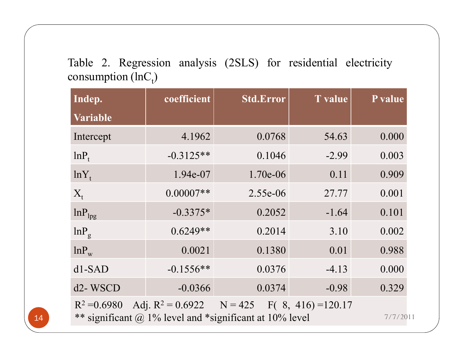Table 2. Regression analysis (2SLS) for residential electricity consumption (lnC<sub>t</sub>)

| Indep.                           | coefficient | <b>Std.Error</b>                                                                                                                | <b>T</b> value | P value  |
|----------------------------------|-------------|---------------------------------------------------------------------------------------------------------------------------------|----------------|----------|
| Variable                         |             |                                                                                                                                 |                |          |
| Intercept                        | 4.1962      | 0.0768                                                                                                                          | 54.63          | 0.000    |
| $lnP_{t}$                        | $-0.3125**$ | 0.1046                                                                                                                          | $-2.99$        | 0.003    |
| $lnY_t$                          | 1.94e-07    | 1.70e-06                                                                                                                        | 0.11           | 0.909    |
| $X_{t}$                          | $0.00007**$ | 2.55e-06                                                                                                                        | 27.77          | 0.001    |
| $ln P_{\text{lpg}}$              | $-0.3375*$  | 0.2052                                                                                                                          | $-1.64$        | 0.101    |
| $lnP_{g}$                        | $0.6249**$  | 0.2014                                                                                                                          | 3.10           | 0.002    |
| $lnP_{w}$                        | 0.0021      | 0.1380                                                                                                                          | 0.01           | 0.988    |
| $d1-SAD$                         | $-0.1556**$ | 0.0376                                                                                                                          | $-4.13$        | 0.000    |
| d <sub>2</sub> -W <sub>SCD</sub> | $-0.0366$   | 0.0374                                                                                                                          | $-0.98$        | 0.329    |
|                                  |             | $R^2 = 0.6980$ Adj. $R^2 = 0.6922$ N = 425 F(8, 416) = 120.17<br>** significant $\omega$ 1% level and *significant at 10% level |                | 7/7/2011 |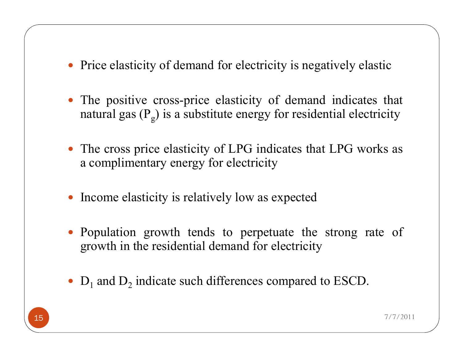- Price elasticity of demand for electricity is negatively elastic
- The positive cross-price elasticity of demand indicates that natural gas ( $\mathrm{P_g})$  is a substitute energy for residential electricity
- The cross price elasticity of LPG indicates that LPG works as a complimentary energy for electricity
- Income elasticity is relatively low as expected
- Population growth tends to perpetuate the strong rate of growth in the residential demand for electricity
- $\bullet$  D<sub>1</sub> and D<sub>2</sub> indicate such differences compared to ESCD.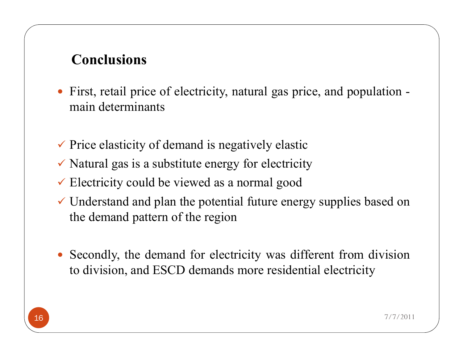#### **Conclusions**

- First, retail price of electricity, natural gas price, and population main determinants
- $\checkmark$  Price elasticity of demand is negatively elastic
- $\checkmark$  Natural gas is a substitute energy for electricity
- $\checkmark$  Electricity could be viewed as a normal good
- $\checkmark$  Understand and plan the potential future energy supplies based on the demand pattern of the region
- Secondly, the demand for electricity was different from division to division, and ESCD demands more residential electricity